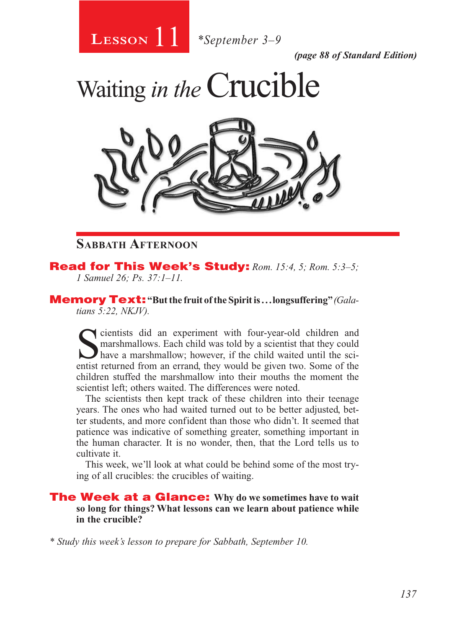11 **Lesson** *\*September 3–9*

*(page 88 of Standard Edition)*





## **Sabbath Afternoon**

### Read for This Week's Study: *Rom. 15:4, 5; Rom. 5:3–5; 1 Samuel 26; Ps. 37:1–11.*

Memory Text: **"But the fruit of the Spirit is . . . longsuffering"** *(Galatians 5:22, NKJV).* 

Scientists did an experiment with four-year-old children and marshmallows. Each child was told by a scientist that they could have a marshmallow; however, if the child waited until the scientist returned from an errand, they would be given two. Some of the children stuffed the marshmallow into their mouths the moment the scientist left; others waited. The differences were noted.

The scientists then kept track of these children into their teenage years. The ones who had waited turned out to be better adjusted, better students, and more confident than those who didn't. It seemed that patience was indicative of something greater, something important in the human character. It is no wonder, then, that the Lord tells us to cultivate it.

This week, we'll look at what could be behind some of the most trying of all crucibles: the crucibles of waiting.

The Week at a Glance: **Why do we sometimes have to wait so long for things? What lessons can we learn about patience while in the crucible?**

*\* Study this week's lesson to prepare for Sabbath, September 10.*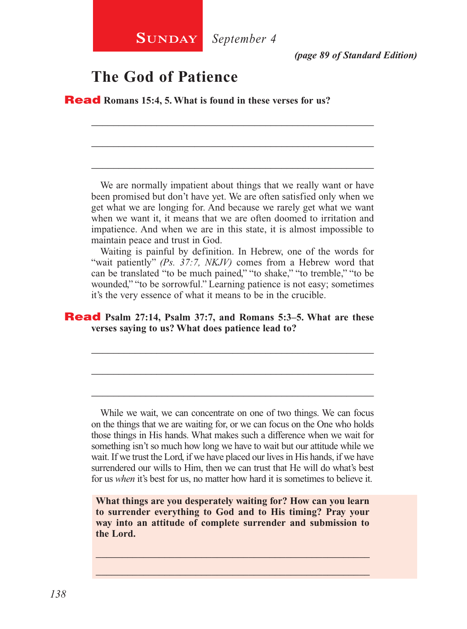*(page 89 of Standard Edition)*

## **The God of Patience**

Read **Romans 15:4, 5. What is found in these verses for us?**

We are normally impatient about things that we really want or have been promised but don't have yet. We are often satisfied only when we get what we are longing for. And because we rarely get what we want when we want it, it means that we are often doomed to irritation and impatience. And when we are in this state, it is almost impossible to maintain peace and trust in God.

\_\_\_\_\_\_\_\_\_\_\_\_\_\_\_\_\_\_\_\_\_\_\_\_\_\_\_\_\_\_\_\_\_\_\_\_\_\_\_\_\_\_\_\_\_\_\_\_\_\_\_\_

\_\_\_\_\_\_\_\_\_\_\_\_\_\_\_\_\_\_\_\_\_\_\_\_\_\_\_\_\_\_\_\_\_\_\_\_\_\_\_\_\_\_\_\_\_\_\_\_\_\_\_\_

\_\_\_\_\_\_\_\_\_\_\_\_\_\_\_\_\_\_\_\_\_\_\_\_\_\_\_\_\_\_\_\_\_\_\_\_\_\_\_\_\_\_\_\_\_\_\_\_\_\_\_\_

Waiting is painful by definition. In Hebrew, one of the words for "wait patiently" *(Ps. 37:7, NKJV)* comes from a Hebrew word that can be translated "to be much pained," "to shake," "to tremble," "to be wounded," "to be sorrowful." Learning patience is not easy; sometimes it's the very essence of what it means to be in the crucible.

\_\_\_\_\_\_\_\_\_\_\_\_\_\_\_\_\_\_\_\_\_\_\_\_\_\_\_\_\_\_\_\_\_\_\_\_\_\_\_\_\_\_\_\_\_\_\_\_\_\_\_\_

\_\_\_\_\_\_\_\_\_\_\_\_\_\_\_\_\_\_\_\_\_\_\_\_\_\_\_\_\_\_\_\_\_\_\_\_\_\_\_\_\_\_\_\_\_\_\_\_\_\_\_\_

\_\_\_\_\_\_\_\_\_\_\_\_\_\_\_\_\_\_\_\_\_\_\_\_\_\_\_\_\_\_\_\_\_\_\_\_\_\_\_\_\_\_\_\_\_\_\_\_\_\_\_\_

### Read **Psalm 27:14, Psalm 37:7, and Romans 5:3–5. What are these verses saying to us? What does patience lead to?**

While we wait, we can concentrate on one of two things. We can focus on the things that we are waiting for, or we can focus on the One who holds those things in His hands. What makes such a difference when we wait for something isn't so much how long we have to wait but our attitude while we wait. If we trust the Lord, if we have placed our lives in His hands, if we have surrendered our wills to Him, then we can trust that He will do what's best for us *when* it's best for us, no matter how hard it is sometimes to believe it.

**What things are you desperately waiting for? How can you learn to surrender everything to God and to His timing? Pray your way into an attitude of complete surrender and submission to the Lord.**

\_\_\_\_\_\_\_\_\_\_\_\_\_\_\_\_\_\_\_\_\_\_\_\_\_\_\_\_\_\_\_\_\_\_\_\_\_\_\_\_\_\_\_\_\_\_\_\_\_\_\_\_ \_\_\_\_\_\_\_\_\_\_\_\_\_\_\_\_\_\_\_\_\_\_\_\_\_\_\_\_\_\_\_\_\_\_\_\_\_\_\_\_\_\_\_\_\_\_\_\_\_\_\_\_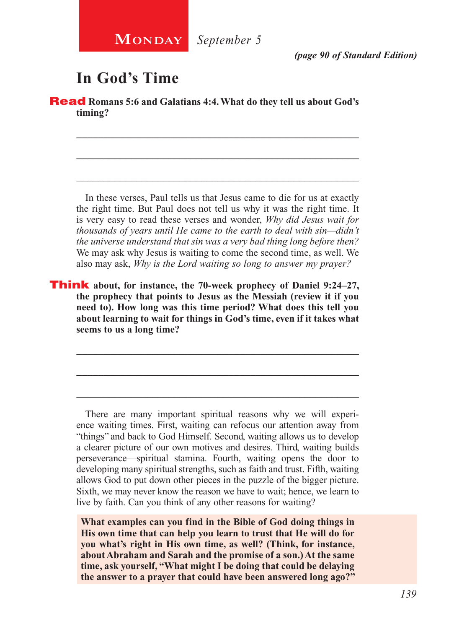

*(page 90 of Standard Edition)*

# **In God's Time**

**Read** Romans 5:6 and Galatians 4:4. What do they tell us about God's **timing?**

\_\_\_\_\_\_\_\_\_\_\_\_\_\_\_\_\_\_\_\_\_\_\_\_\_\_\_\_\_\_\_\_\_\_\_\_\_\_\_\_\_\_\_\_\_\_\_\_\_\_\_\_

\_\_\_\_\_\_\_\_\_\_\_\_\_\_\_\_\_\_\_\_\_\_\_\_\_\_\_\_\_\_\_\_\_\_\_\_\_\_\_\_\_\_\_\_\_\_\_\_\_\_\_\_

\_\_\_\_\_\_\_\_\_\_\_\_\_\_\_\_\_\_\_\_\_\_\_\_\_\_\_\_\_\_\_\_\_\_\_\_\_\_\_\_\_\_\_\_\_\_\_\_\_\_\_\_

In these verses, Paul tells us that Jesus came to die for us at exactly the right time. But Paul does not tell us why it was the right time. It is very easy to read these verses and wonder, *Why did Jesus wait for thousands of years until He came to the earth to deal with sin—didn't the universe understand that sin was a very bad thing long before then?*  We may ask why Jesus is waiting to come the second time, as well. We also may ask, *Why is the Lord waiting so long to answer my prayer?*

Think **about, for instance, the 70-week prophecy of Daniel 9:24–27, the prophecy that points to Jesus as the Messiah (review it if you need to). How long was this time period? What does this tell you about learning to wait for things in God's time, even if it takes what seems to us a long time?**

\_\_\_\_\_\_\_\_\_\_\_\_\_\_\_\_\_\_\_\_\_\_\_\_\_\_\_\_\_\_\_\_\_\_\_\_\_\_\_\_\_\_\_\_\_\_\_\_\_\_\_\_

\_\_\_\_\_\_\_\_\_\_\_\_\_\_\_\_\_\_\_\_\_\_\_\_\_\_\_\_\_\_\_\_\_\_\_\_\_\_\_\_\_\_\_\_\_\_\_\_\_\_\_\_

\_\_\_\_\_\_\_\_\_\_\_\_\_\_\_\_\_\_\_\_\_\_\_\_\_\_\_\_\_\_\_\_\_\_\_\_\_\_\_\_\_\_\_\_\_\_\_\_\_\_\_\_

There are many important spiritual reasons why we will experience waiting times. First, waiting can refocus our attention away from "things" and back to God Himself. Second, waiting allows us to develop a clearer picture of our own motives and desires. Third, waiting builds perseverance—spiritual stamina. Fourth, waiting opens the door to developing many spiritual strengths, such as faith and trust. Fifth, waiting allows God to put down other pieces in the puzzle of the bigger picture. Sixth, we may never know the reason we have to wait; hence, we learn to live by faith. Can you think of any other reasons for waiting?

**What examples can you find in the Bible of God doing things in His own time that can help you learn to trust that He will do for you what's right in His own time, as well? (Think, for instance, about Abraham and Sarah and the promise of a son.) At the same time, ask yourself, "What might I be doing that could be delaying the answer to a prayer that could have been answered long ago?"**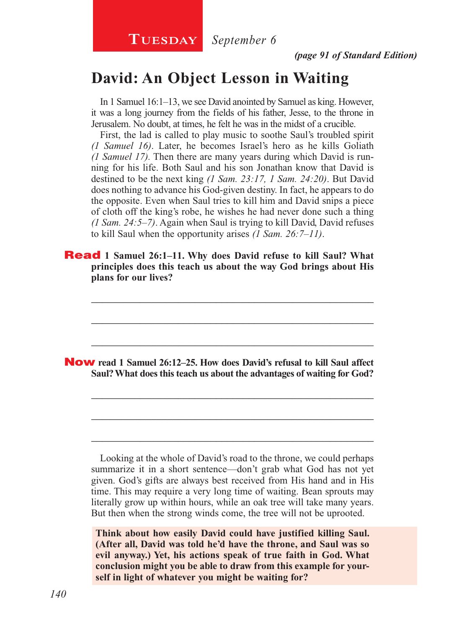**TUESDAY** *September 6* 

*(page 91 of Standard Edition)*

## **David: An Object Lesson in Waiting**

In 1 Samuel 16:1–13, we see David anointed by Samuel as king. However, it was a long journey from the fields of his father, Jesse, to the throne in Jerusalem. No doubt, at times, he felt he was in the midst of a crucible.

First, the lad is called to play music to soothe Saul's troubled spirit *(1 Samuel 16)*. Later, he becomes Israel's hero as he kills Goliath *(1 Samuel 17).* Then there are many years during which David is running for his life. Both Saul and his son Jonathan know that David is destined to be the next king *(1 Sam. 23:17, 1 Sam. 24:20)*. But David does nothing to advance his God-given destiny. In fact, he appears to do the opposite. Even when Saul tries to kill him and David snips a piece of cloth off the king's robe, he wishes he had never done such a thing *(1 Sam. 24:5–7)*. Again when Saul is trying to kill David, David refuses to kill Saul when the opportunity arises *(1 Sam. 26:7–11)*.

**Read** 1 Samuel 26:1–11. Why does David refuse to kill Saul? What **principles does this teach us about the way God brings about His plans for our lives?**

\_\_\_\_\_\_\_\_\_\_\_\_\_\_\_\_\_\_\_\_\_\_\_\_\_\_\_\_\_\_\_\_\_\_\_\_\_\_\_\_\_\_\_\_\_\_\_\_\_\_\_\_

\_\_\_\_\_\_\_\_\_\_\_\_\_\_\_\_\_\_\_\_\_\_\_\_\_\_\_\_\_\_\_\_\_\_\_\_\_\_\_\_\_\_\_\_\_\_\_\_\_\_\_\_

\_\_\_\_\_\_\_\_\_\_\_\_\_\_\_\_\_\_\_\_\_\_\_\_\_\_\_\_\_\_\_\_\_\_\_\_\_\_\_\_\_\_\_\_\_\_\_\_\_\_\_\_

\_\_\_\_\_\_\_\_\_\_\_\_\_\_\_\_\_\_\_\_\_\_\_\_\_\_\_\_\_\_\_\_\_\_\_\_\_\_\_\_\_\_\_\_\_\_\_\_\_\_\_\_

\_\_\_\_\_\_\_\_\_\_\_\_\_\_\_\_\_\_\_\_\_\_\_\_\_\_\_\_\_\_\_\_\_\_\_\_\_\_\_\_\_\_\_\_\_\_\_\_\_\_\_\_

\_\_\_\_\_\_\_\_\_\_\_\_\_\_\_\_\_\_\_\_\_\_\_\_\_\_\_\_\_\_\_\_\_\_\_\_\_\_\_\_\_\_\_\_\_\_\_\_\_\_\_\_

Now **read 1 Samuel 26:12–25. How does David's refusal to kill Saul affect Saul? What does this teach us about the advantages of waiting for God?**

Looking at the whole of David's road to the throne, we could perhaps summarize it in a short sentence—don't grab what God has not yet given. God's gifts are always best received from His hand and in His time. This may require a very long time of waiting. Bean sprouts may literally grow up within hours, while an oak tree will take many years. But then when the strong winds come, the tree will not be uprooted.

**Think about how easily David could have justified killing Saul. (After all, David was told he'd have the throne, and Saul was so evil anyway.) Yet, his actions speak of true faith in God. What conclusion might you be able to draw from this example for yourself in light of whatever you might be waiting for?**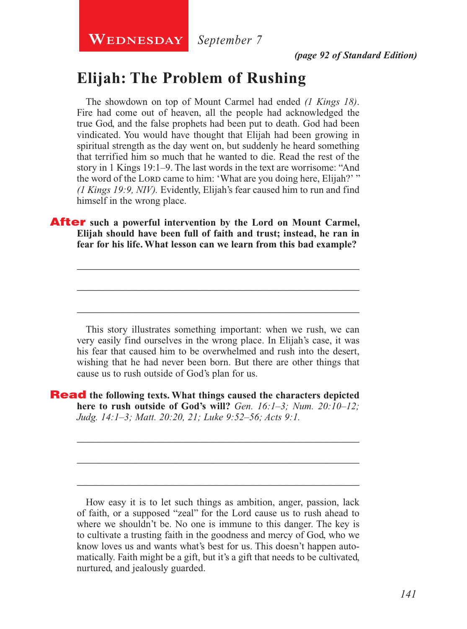**WEDNESDAY** September 7

*(page 92 of Standard Edition)*

## **Elijah: The Problem of Rushing**

The showdown on top of Mount Carmel had ended *(1 Kings 18)*. Fire had come out of heaven, all the people had acknowledged the true God, and the false prophets had been put to death. God had been vindicated. You would have thought that Elijah had been growing in spiritual strength as the day went on, but suddenly he heard something that terrified him so much that he wanted to die. Read the rest of the story in 1 Kings 19:1–9. The last words in the text are worrisome: "And the word of the Lord came to him: 'What are you doing here, Elijah?' " *(1 Kings 19:9, NIV).* Evidently, Elijah's fear caused him to run and find himself in the wrong place.

After **such a powerful intervention by the Lord on Mount Carmel, Elijah should have been full of faith and trust; instead, he ran in fear for his life. What lesson can we learn from this bad example?**

This story illustrates something important: when we rush, we can very easily find ourselves in the wrong place. In Elijah's case, it was his fear that caused him to be overwhelmed and rush into the desert, wishing that he had never been born. But there are other things that cause us to rush outside of God's plan for us.

\_\_\_\_\_\_\_\_\_\_\_\_\_\_\_\_\_\_\_\_\_\_\_\_\_\_\_\_\_\_\_\_\_\_\_\_\_\_\_\_\_\_\_\_\_\_\_\_\_\_\_\_

\_\_\_\_\_\_\_\_\_\_\_\_\_\_\_\_\_\_\_\_\_\_\_\_\_\_\_\_\_\_\_\_\_\_\_\_\_\_\_\_\_\_\_\_\_\_\_\_\_\_\_\_

\_\_\_\_\_\_\_\_\_\_\_\_\_\_\_\_\_\_\_\_\_\_\_\_\_\_\_\_\_\_\_\_\_\_\_\_\_\_\_\_\_\_\_\_\_\_\_\_\_\_\_\_

\_\_\_\_\_\_\_\_\_\_\_\_\_\_\_\_\_\_\_\_\_\_\_\_\_\_\_\_\_\_\_\_\_\_\_\_\_\_\_\_\_\_\_\_\_\_\_\_\_\_\_\_

\_\_\_\_\_\_\_\_\_\_\_\_\_\_\_\_\_\_\_\_\_\_\_\_\_\_\_\_\_\_\_\_\_\_\_\_\_\_\_\_\_\_\_\_\_\_\_\_\_\_\_\_

\_\_\_\_\_\_\_\_\_\_\_\_\_\_\_\_\_\_\_\_\_\_\_\_\_\_\_\_\_\_\_\_\_\_\_\_\_\_\_\_\_\_\_\_\_\_\_\_\_\_\_\_

Read **the following texts. What things caused the characters depicted here to rush outside of God's will?** *Gen. 16:1–3; Num. 20:10–12; Judg. 14:1–3; Matt. 20:20, 21; Luke 9:52–56; Acts 9:1.*

How easy it is to let such things as ambition, anger, passion, lack of faith, or a supposed "zeal" for the Lord cause us to rush ahead to where we shouldn't be. No one is immune to this danger. The key is to cultivate a trusting faith in the goodness and mercy of God, who we know loves us and wants what's best for us. This doesn't happen automatically. Faith might be a gift, but it's a gift that needs to be cultivated, nurtured, and jealously guarded.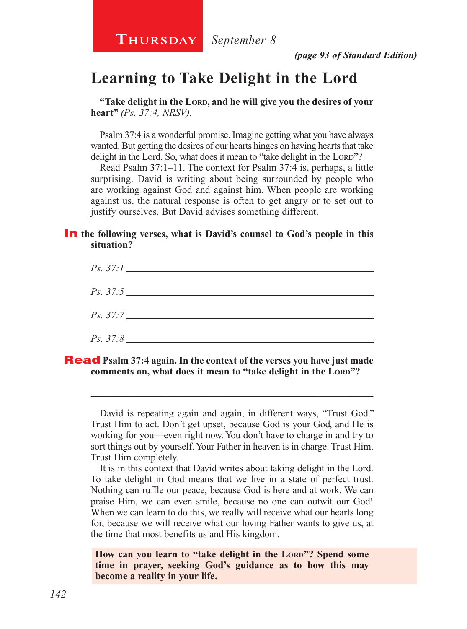**Thursday** *September 8*

*(page 93 of Standard Edition)*

## **Learning to Take Delight in the Lord**

**"Take delight in the Lord, and he will give you the desires of your heart"** *(Ps. 37:4, NRSV).*

Psalm 37:4 is a wonderful promise. Imagine getting what you have always wanted. But getting the desires of our hearts hinges on having hearts that take delight in the Lord. So, what does it mean to "take delight in the Lord"?

Read Psalm 37:1–11. The context for Psalm 37:4 is, perhaps, a little surprising. David is writing about being surrounded by people who are working against God and against him. When people are working against us, the natural response is often to get angry or to set out to justify ourselves. But David advises something different.

### **In** the following verses, what is David's counsel to God's people in this **situation?**



Read **Psalm 37:4 again. In the context of the verses you have just made comments on, what does it mean to "take delight in the LORD"?** 

David is repeating again and again, in different ways, "Trust God." Trust Him to act. Don't get upset, because God is your God, and He is working for you—even right now. You don't have to charge in and try to sort things out by yourself. Your Father in heaven is in charge. Trust Him. Trust Him completely.

\_\_\_\_\_\_\_\_\_\_\_\_\_\_\_\_\_\_\_\_\_\_\_\_\_\_\_\_\_\_\_\_\_\_\_\_\_\_\_\_\_\_\_\_\_\_\_\_\_\_\_\_

It is in this context that David writes about taking delight in the Lord. To take delight in God means that we live in a state of perfect trust. Nothing can ruffle our peace, because God is here and at work. We can praise Him, we can even smile, because no one can outwit our God! When we can learn to do this, we really will receive what our hearts long for, because we will receive what our loving Father wants to give us, at the time that most benefits us and His kingdom.

How can you learn to "take delight in the LORD"? Spend some **time in prayer, seeking God's guidance as to how this may become a reality in your life.**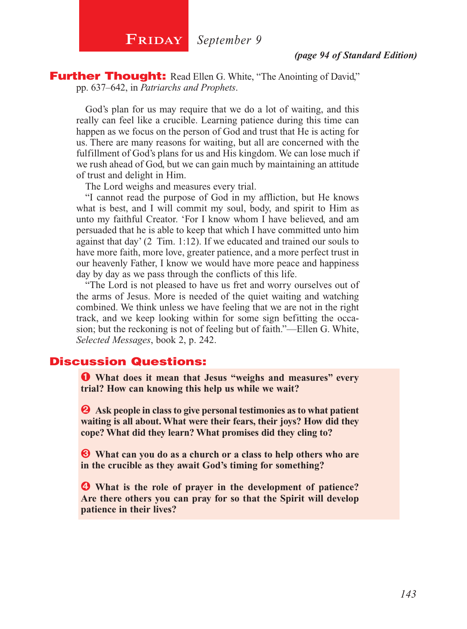

**Further Thought:** Read Ellen G. White, "The Anointing of David," pp. 637–642, in *Patriarchs and Prophets*.

God's plan for us may require that we do a lot of waiting, and this really can feel like a crucible. Learning patience during this time can happen as we focus on the person of God and trust that He is acting for us. There are many reasons for waiting, but all are concerned with the fulfillment of God's plans for us and His kingdom. We can lose much if we rush ahead of God, but we can gain much by maintaining an attitude of trust and delight in Him.

The Lord weighs and measures every trial.

"I cannot read the purpose of God in my affliction, but He knows what is best, and I will commit my soul, body, and spirit to Him as unto my faithful Creator. 'For I know whom I have believed, and am persuaded that he is able to keep that which I have committed unto him against that day' (2 Tim. 1:12). If we educated and trained our souls to have more faith, more love, greater patience, and a more perfect trust in our heavenly Father, I know we would have more peace and happiness day by day as we pass through the conflicts of this life.

"The Lord is not pleased to have us fret and worry ourselves out of the arms of Jesus. More is needed of the quiet waiting and watching combined. We think unless we have feeling that we are not in the right track, and we keep looking within for some sign befitting the occasion; but the reckoning is not of feeling but of faith."—Ellen G. White, *Selected Messages*, book 2, p. 242.

## Discussion Questions:

Ê **What does it mean that Jesus "weighs and measures" every trial? How can knowing this help us while we wait?**

 $\bullet$  Ask people in class to give personal testimonies as to what patient **waiting is all about. What were their fears, their joys? How did they cope? What did they learn? What promises did they cling to?**

 $\bullet$  What can you do as a church or a class to help others who are **in the crucible as they await God's timing for something?**

Í **What is the role of prayer in the development of patience? Are there others you can pray for so that the Spirit will develop patience in their lives?**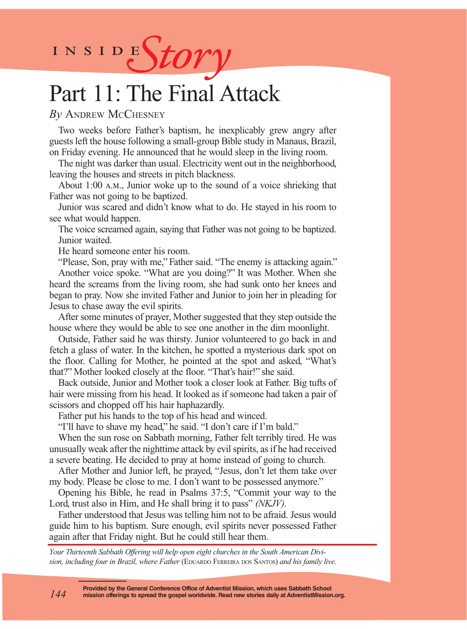INSIDES*tory* 

# Part 11: The Final Attack

### *By* Andrew McChesney

Two weeks before Father's baptism, he inexplicably grew angry after guests left the house following a small-group Bible study in Manaus, Brazil, on Friday evening. He announced that he would sleep in the living room.

The night was darker than usual. Electricity went out in the neighborhood, leaving the houses and streets in pitch blackness.

About 1:00 a.m., Junior woke up to the sound of a voice shrieking that Father was not going to be baptized.

Junior was scared and didn't know what to do. He stayed in his room to see what would happen.

The voice screamed again, saying that Father was not going to be baptized. Junior waited.

He heard someone enter his room.

"Please, Son, pray with me," Father said. "The enemy is attacking again." Another voice spoke. "What are you doing?" It was Mother. When she heard the screams from the living room, she had sunk onto her knees and began to pray. Now she invited Father and Junior to join her in pleading for Jesus to chase away the evil spirits.

After some minutes of prayer, Mother suggested that they step outside the house where they would be able to see one another in the dim moonlight.

Outside, Father said he was thirsty. Junior volunteered to go back in and fetch a glass of water. In the kitchen, he spotted a mysterious dark spot on the floor. Calling for Mother, he pointed at the spot and asked, "What's that?" Mother looked closely at the floor. "That's hair!" she said.

Back outside, Junior and Mother took a closer look at Father. Big tufts of hair were missing from his head. It looked as if someone had taken a pair of scissors and chopped off his hair haphazardly.

Father put his hands to the top of his head and winced.

"I'll have to shave my head," he said. "I don't care if I'm bald."

When the sun rose on Sabbath morning, Father felt terribly tired. He was unusually weak after the nighttime attack by evil spirits, as if he had received a severe beating. He decided to pray at home instead of going to church.

After Mother and Junior left, he prayed, "Jesus, don't let them take over my body. Please be close to me. I don't want to be possessed anymore."

Opening his Bible, he read in Psalms 37:5, "Commit your way to the Lord, trust also in Him, and He shall bring it to pass" *(NKJV).*

Father understood that Jesus was telling him not to be afraid. Jesus would guide him to his baptism. Sure enough, evil spirits never possessed Father again after that Friday night. But he could still hear them.

*Your Thirteenth Sabbath Offering will help open eight churches in the South American Divi* $s$ ion, including four in Brazil, where Father (EDUARDO FERREIRA DOS SANTOS) and his family live.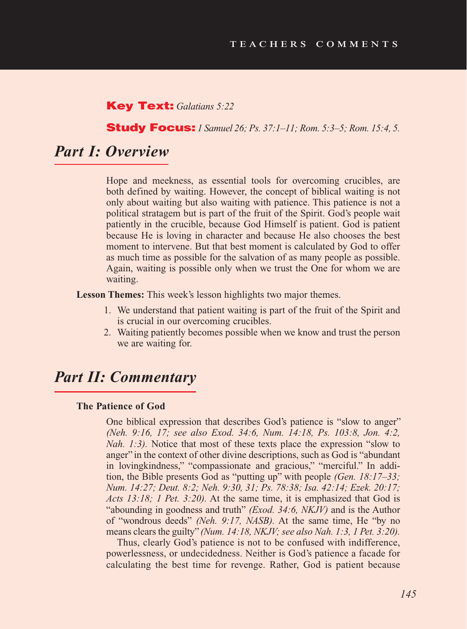### Key Text: *Galatians 5:22*

### Study Focus: *1 Samuel 26; Ps. 37:1–11; Rom. 5:3–5; Rom. 15:4, 5.*

## *Part I: Overview*

Hope and meekness, as essential tools for overcoming crucibles, are both defined by waiting. However, the concept of biblical waiting is not only about waiting but also waiting with patience. This patience is not a political stratagem but is part of the fruit of the Spirit. God's people wait patiently in the crucible, because God Himself is patient. God is patient because He is loving in character and because He also chooses the best moment to intervene. But that best moment is calculated by God to offer as much time as possible for the salvation of as many people as possible. Again, waiting is possible only when we trust the One for whom we are waiting.

**Lesson Themes:** This week's lesson highlights two major themes.

- 1. We understand that patient waiting is part of the fruit of the Spirit and is crucial in our overcoming crucibles.
- 2. Waiting patiently becomes possible when we know and trust the person we are waiting for.

## *Part II: Commentary*

### **The Patience of God**

One biblical expression that describes God's patience is "slow to anger" *(Neh. 9:16, 17; see also Exod. 34:6, Num. 14:18, Ps. 103:8, Jon. 4:2, Nah. 1:3).* Notice that most of these texts place the expression "slow to anger" in the context of other divine descriptions, such as God is "abundant in lovingkindness," "compassionate and gracious," "merciful." In addition, the Bible presents God as "putting up" with people *(Gen. 18:17–33; Num. 14:27; Deut. 8:2; Neh. 9:30, 31; Ps. 78:38; Isa. 42:14; Ezek. 20:17; Acts 13:18; 1 Pet. 3:20).* At the same time, it is emphasized that God is "abounding in goodness and truth" *(Exod. 34:6, NKJV)* and is the Author of "wondrous deeds" *(Neh. 9:17, NASB).* At the same time, He "by no means clears the guilty" *(Num. 14:18, NKJV; see also Nah. 1:3, 1 Pet. 3:20).* 

Thus, clearly God's patience is not to be confused with indifference, powerlessness, or undecidedness. Neither is God's patience a facade for calculating the best time for revenge. Rather, God is patient because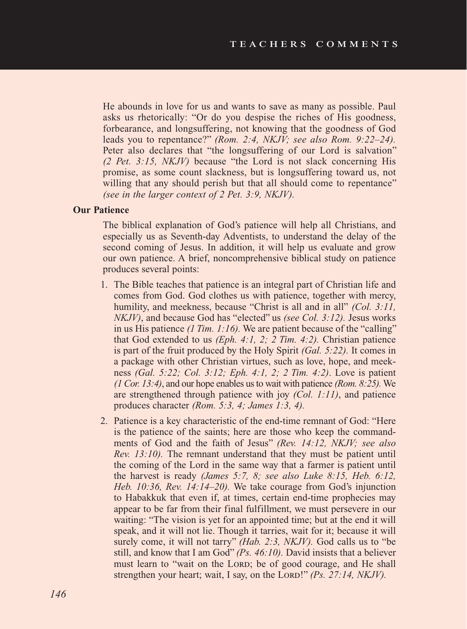He abounds in love for us and wants to save as many as possible. Paul asks us rhetorically: "Or do you despise the riches of His goodness, forbearance, and longsuffering, not knowing that the goodness of God leads you to repentance?" *(Rom. 2:4, NKJV; see also Rom. 9:22–24).* Peter also declares that "the longsuffering of our Lord is salvation" *(2 Pet. 3:15, NKJV)* because "the Lord is not slack concerning His promise, as some count slackness, but is longsuffering toward us, not willing that any should perish but that all should come to repentance" *(see in the larger context of 2 Pet. 3:9, NKJV).*

### **Our Patience**

The biblical explanation of God's patience will help all Christians, and especially us as Seventh-day Adventists, to understand the delay of the second coming of Jesus. In addition, it will help us evaluate and grow our own patience. A brief, noncomprehensive biblical study on patience produces several points:

- 1. The Bible teaches that patience is an integral part of Christian life and comes from God. God clothes us with patience, together with mercy, humility, and meekness, because "Christ is all and in all" *(Col. 3:11, NKJV)*, and because God has "elected" us *(see Col. 3:12).* Jesus works in us His patience *(1 Tim. 1:16).* We are patient because of the "calling" that God extended to us *(Eph. 4:1, 2; 2 Tim. 4:2).* Christian patience is part of the fruit produced by the Holy Spirit *(Gal. 5:22).* It comes in a package with other Christian virtues, such as love, hope, and meekness *(Gal. 5:22; Col. 3:12; Eph. 4:1, 2; 2 Tim. 4:2)*. Love is patient *(1 Cor. 13:4)*, and our hope enables us to wait with patience *(Rom. 8:25).* We are strengthened through patience with joy *(Col. 1:11)*, and patience produces character *(Rom. 5:3, 4; James 1:3, 4).*
- 2. Patience is a key characteristic of the end-time remnant of God: "Here is the patience of the saints; here are those who keep the commandments of God and the faith of Jesus" *(Rev. 14:12, NKJV; see also Rev. 13:10).* The remnant understand that they must be patient until the coming of the Lord in the same way that a farmer is patient until the harvest is ready *(James 5:7, 8; see also Luke 8:15, Heb. 6:12, Heb. 10:36, Rev. 14:14–20).* We take courage from God's injunction to Habakkuk that even if, at times, certain end-time prophecies may appear to be far from their final fulfillment, we must persevere in our waiting: "The vision is yet for an appointed time; but at the end it will speak, and it will not lie. Though it tarries, wait for it; because it will surely come, it will not tarry" *(Hab. 2:3, NKJV).* God calls us to "be still, and know that I am God" *(Ps. 46:10).* David insists that a believer must learn to "wait on the LORD; be of good courage, and He shall strengthen your heart; wait, I say, on the Lord!" *(Ps. 27:14, NKJV)*.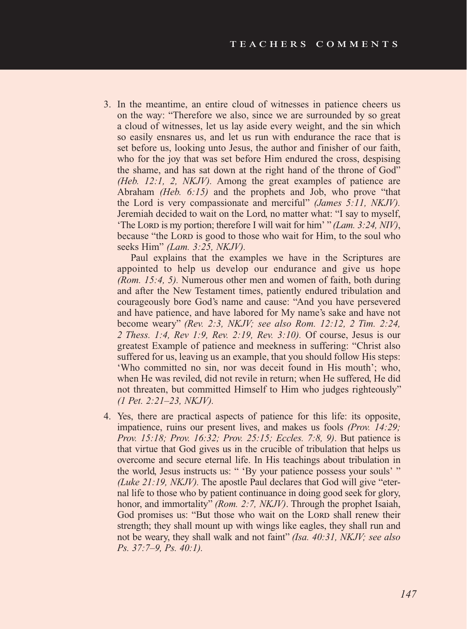3. In the meantime, an entire cloud of witnesses in patience cheers us on the way: "Therefore we also, since we are surrounded by so great a cloud of witnesses, let us lay aside every weight, and the sin which so easily ensnares us, and let us run with endurance the race that is set before us, looking unto Jesus, the author and finisher of our faith, who for the joy that was set before Him endured the cross, despising the shame, and has sat down at the right hand of the throne of God" *(Heb. 12:1, 2, NKJV).* Among the great examples of patience are Abraham *(Heb. 6:15)* and the prophets and Job, who prove "that the Lord is very compassionate and merciful" *(James 5:11, NKJV).* Jeremiah decided to wait on the Lord, no matter what: "I say to myself, 'The Lord is my portion; therefore I will wait for him' " *(Lam. 3:24, NIV)*, because "the Lord is good to those who wait for Him, to the soul who seeks Him" *(Lam. 3:25, NKJV).*

Paul explains that the examples we have in the Scriptures are appointed to help us develop our endurance and give us hope *(Rom. 15:4, 5).* Numerous other men and women of faith, both during and after the New Testament times, patiently endured tribulation and courageously bore God's name and cause: "And you have persevered and have patience, and have labored for My name's sake and have not become weary" *(Rev. 2:3, NKJV; see also Rom. 12:12, 2 Tim. 2:24, 2 Thess. 1:4, Rev 1:9, Rev. 2:19, Rev. 3:10).* Of course, Jesus is our greatest Example of patience and meekness in suffering: "Christ also suffered for us, leaving us an example, that you should follow His steps: 'Who committed no sin, nor was deceit found in His mouth'; who, when He was reviled, did not revile in return; when He suffered, He did not threaten, but committed Himself to Him who judges righteously" *(1 Pet. 2:21–23, NKJV).*

4. Yes, there are practical aspects of patience for this life: its opposite, impatience, ruins our present lives, and makes us fools *(Prov. 14:29; Prov. 15:18; Prov. 16:32; Prov. 25:15; Eccles. 7:8, 9)*. But patience is that virtue that God gives us in the crucible of tribulation that helps us overcome and secure eternal life. In His teachings about tribulation in the world, Jesus instructs us: " 'By your patience possess your souls' " *(Luke 21:19, NKJV).* The apostle Paul declares that God will give "eternal life to those who by patient continuance in doing good seek for glory, honor, and immortality" *(Rom. 2:7, NKJV)*. Through the prophet Isaiah, God promises us: "But those who wait on the LORD shall renew their strength; they shall mount up with wings like eagles, they shall run and not be weary, they shall walk and not faint" *(Isa. 40:31, NKJV; see also Ps. 37:7–9, Ps. 40:1).*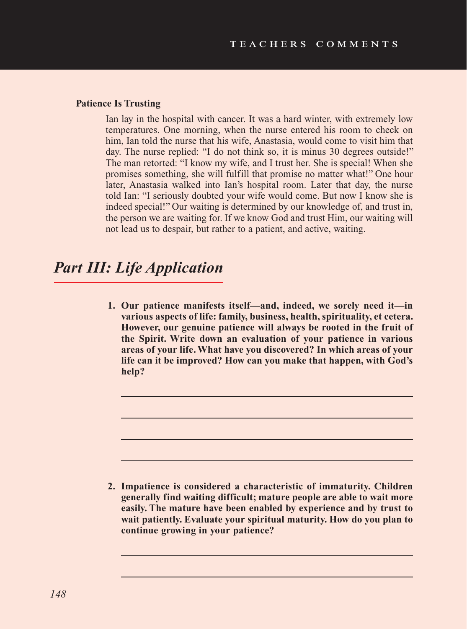#### **Patience Is Trusting**

Ian lay in the hospital with cancer. It was a hard winter, with extremely low temperatures. One morning, when the nurse entered his room to check on him, Ian told the nurse that his wife, Anastasia, would come to visit him that day. The nurse replied: "I do not think so, it is minus 30 degrees outside!" The man retorted: "I know my wife, and I trust her. She is special! When she promises something, she will fulfill that promise no matter what!" One hour later, Anastasia walked into Ian's hospital room. Later that day, the nurse told Ian: "I seriously doubted your wife would come. But now I know she is indeed special!" Our waiting is determined by our knowledge of, and trust in, the person we are waiting for. If we know God and trust Him, our waiting will not lead us to despair, but rather to a patient, and active, waiting.

## *Part III: Life Application*

**1. Our patience manifests itself—and, indeed, we sorely need it—in various aspects of life: family, business, health, spirituality, et cetera. However, our genuine patience will always be rooted in the fruit of the Spirit. Write down an evaluation of your patience in various areas of your life. What have you discovered? In which areas of your life can it be improved? How can you make that happen, with God's help?**

**2. Impatience is considered a characteristic of immaturity. Children generally find waiting difficult; mature people are able to wait more easily. The mature have been enabled by experience and by trust to wait patiently. Evaluate your spiritual maturity. How do you plan to continue growing in your patience?**